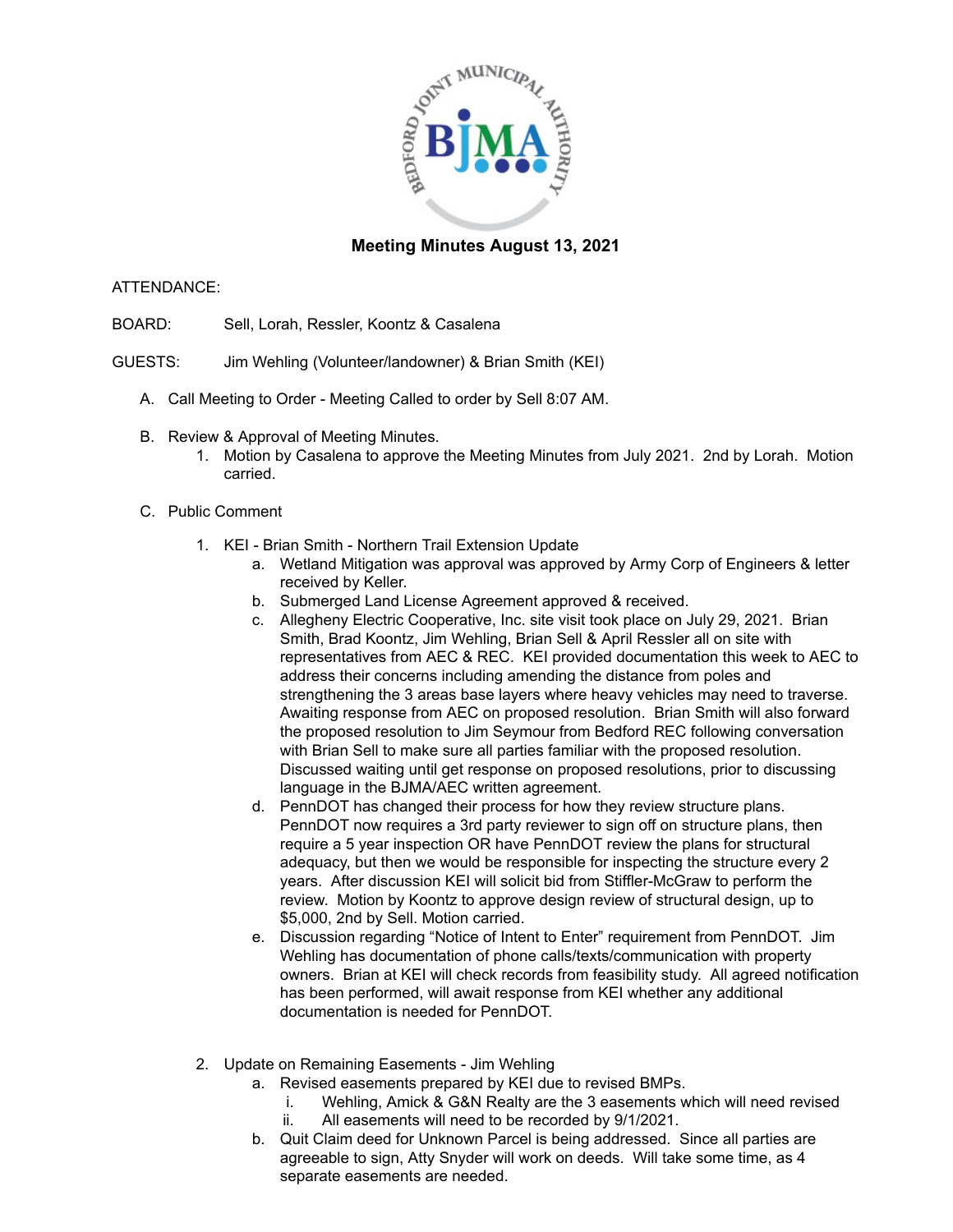

## **Meeting Minutes August 13, 2021**

## ATTENDANCE:

- BOARD: Sell, Lorah, Ressler, Koontz & Casalena
- GUESTS: Jim Wehling (Volunteer/landowner) & Brian Smith (KEI)
	- A. Call Meeting to Order Meeting Called to order by Sell 8:07 AM.
	- B. Review & Approval of Meeting Minutes.
		- 1. Motion by Casalena to approve the Meeting Minutes from July 2021. 2nd by Lorah. Motion carried.
	- C. Public Comment
		- 1. KEI Brian Smith Northern Trail Extension Update
			- a. Wetland Mitigation was approval was approved by Army Corp of Engineers & letter received by Keller.
			- b. Submerged Land License Agreement approved & received.
			- c. Allegheny Electric Cooperative, Inc. site visit took place on July 29, 2021. Brian Smith, Brad Koontz, Jim Wehling, Brian Sell & April Ressler all on site with representatives from AEC & REC. KEI provided documentation this week to AEC to address their concerns including amending the distance from poles and strengthening the 3 areas base layers where heavy vehicles may need to traverse. Awaiting response from AEC on proposed resolution. Brian Smith will also forward the proposed resolution to Jim Seymour from Bedford REC following conversation with Brian Sell to make sure all parties familiar with the proposed resolution. Discussed waiting until get response on proposed resolutions, prior to discussing language in the BJMA/AEC written agreement.
			- d. PennDOT has changed their process for how they review structure plans. PennDOT now requires a 3rd party reviewer to sign off on structure plans, then require a 5 year inspection OR have PennDOT review the plans for structural adequacy, but then we would be responsible for inspecting the structure every 2 years. After discussion KEI will solicit bid from Stiffler-McGraw to perform the review. Motion by Koontz to approve design review of structural design, up to \$5,000, 2nd by Sell. Motion carried.
			- e. Discussion regarding "Notice of Intent to Enter" requirement from PennDOT. Jim Wehling has documentation of phone calls/texts/communication with property owners. Brian at KEI will check records from feasibility study. All agreed notification has been performed, will await response from KEI whether any additional documentation is needed for PennDOT.
		- 2. Update on Remaining Easements Jim Wehling
			- a. Revised easements prepared by KEI due to revised BMPs.
				- i. Wehling, Amick & G&N Realty are the 3 easements which will need revised
				- ii. All easements will need to be recorded by 9/1/2021.
			- b. Quit Claim deed for Unknown Parcel is being addressed. Since all parties are agreeable to sign, Atty Snyder will work on deeds. Will take some time, as 4 separate easements are needed.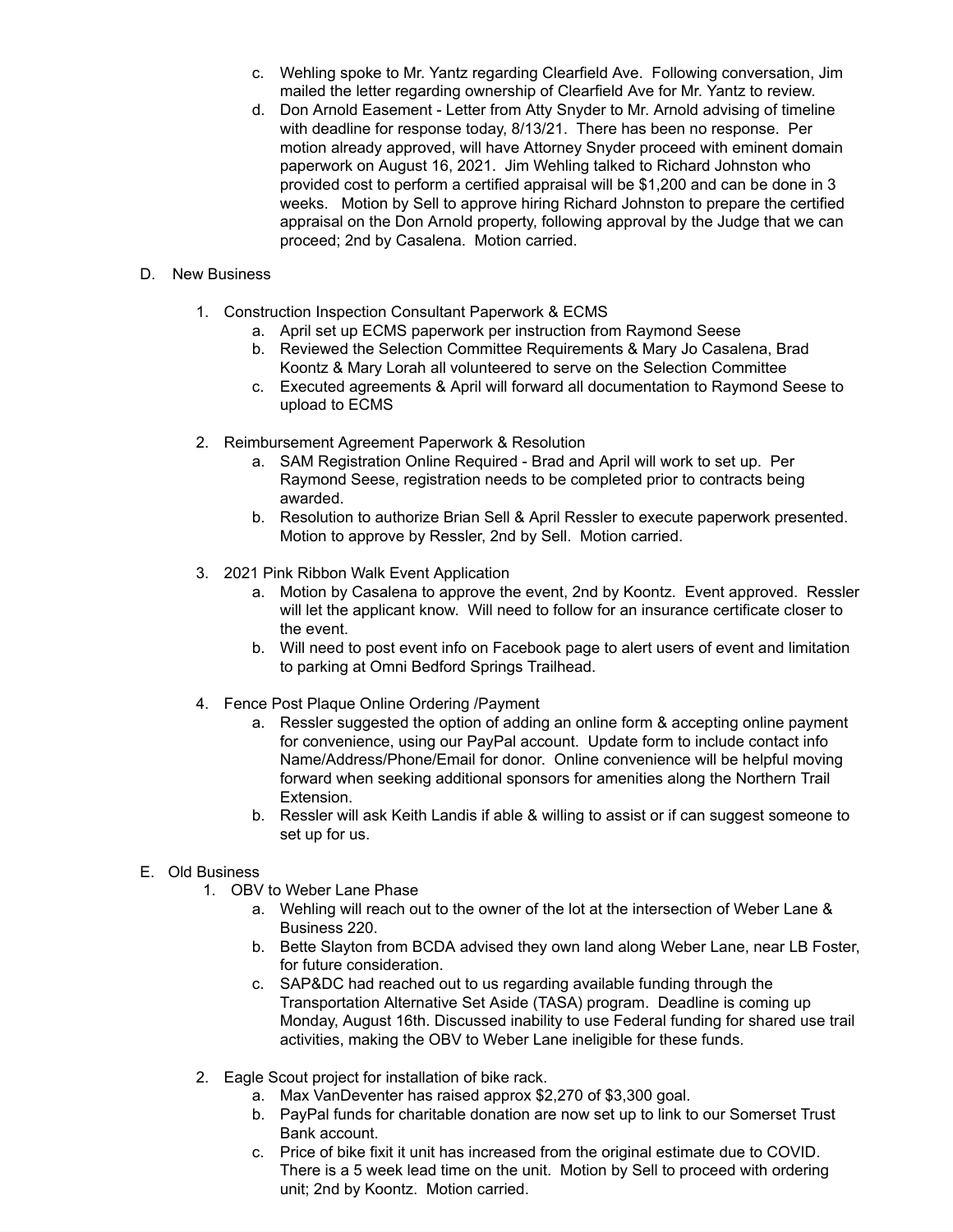- c. Wehling spoke to Mr. Yantz regarding Clearfield Ave. Following conversation, Jim mailed the letter regarding ownership of Clearfield Ave for Mr. Yantz to review.
- d. Don Arnold Easement Letter from Atty Snyder to Mr. Arnold advising of timeline with deadline for response today, 8/13/21. There has been no response. Per motion already approved, will have Attorney Snyder proceed with eminent domain paperwork on August 16, 2021. Jim Wehling talked to Richard Johnston who provided cost to perform a certified appraisal will be \$1,200 and can be done in 3 weeks. Motion by Sell to approve hiring Richard Johnston to prepare the certified appraisal on the Don Arnold property, following approval by the Judge that we can proceed; 2nd by Casalena. Motion carried.

## D. New Business

- 1. Construction Inspection Consultant Paperwork & ECMS
	- a. April set up ECMS paperwork per instruction from Raymond Seese
	- b. Reviewed the Selection Committee Requirements & Mary Jo Casalena, Brad Koontz & Mary Lorah all volunteered to serve on the Selection Committee
	- c. Executed agreements & April will forward all documentation to Raymond Seese to upload to ECMS
- 2. Reimbursement Agreement Paperwork & Resolution
	- a. SAM Registration Online Required Brad and April will work to set up. Per Raymond Seese, registration needs to be completed prior to contracts being awarded.
	- b. Resolution to authorize Brian Sell & April Ressler to execute paperwork presented. Motion to approve by Ressler, 2nd by Sell. Motion carried.
- 3. 2021 Pink Ribbon Walk Event Application
	- a. Motion by Casalena to approve the event, 2nd by Koontz. Event approved. Ressler will let the applicant know. Will need to follow for an insurance certificate closer to the event.
	- b. Will need to post event info on Facebook page to alert users of event and limitation to parking at Omni Bedford Springs Trailhead.
- 4. Fence Post Plaque Online Ordering /Payment
	- a. Ressler suggested the option of adding an online form & accepting online payment for convenience, using our PayPal account. Update form to include contact info Name/Address/Phone/Email for donor. Online convenience will be helpful moving forward when seeking additional sponsors for amenities along the Northern Trail Extension.
	- b. Ressler will ask Keith Landis if able & willing to assist or if can suggest someone to set up for us.

## E. Old Business

- 1. OBV to Weber Lane Phase
	- a. Wehling will reach out to the owner of the lot at the intersection of Weber Lane & Business 220.
	- b. Bette Slayton from BCDA advised they own land along Weber Lane, near LB Foster, for future consideration.
	- c. SAP&DC had reached out to us regarding available funding through the Transportation Alternative Set Aside (TASA) program. Deadline is coming up Monday, August 16th. Discussed inability to use Federal funding for shared use trail activities, making the OBV to Weber Lane ineligible for these funds.
- 2. Eagle Scout project for installation of bike rack.
	- a. Max VanDeventer has raised approx \$2,270 of \$3,300 goal.
	- b. PayPal funds for charitable donation are now set up to link to our Somerset Trust Bank account.
	- c. Price of bike fixit it unit has increased from the original estimate due to COVID. There is a 5 week lead time on the unit. Motion by Sell to proceed with ordering unit; 2nd by Koontz. Motion carried.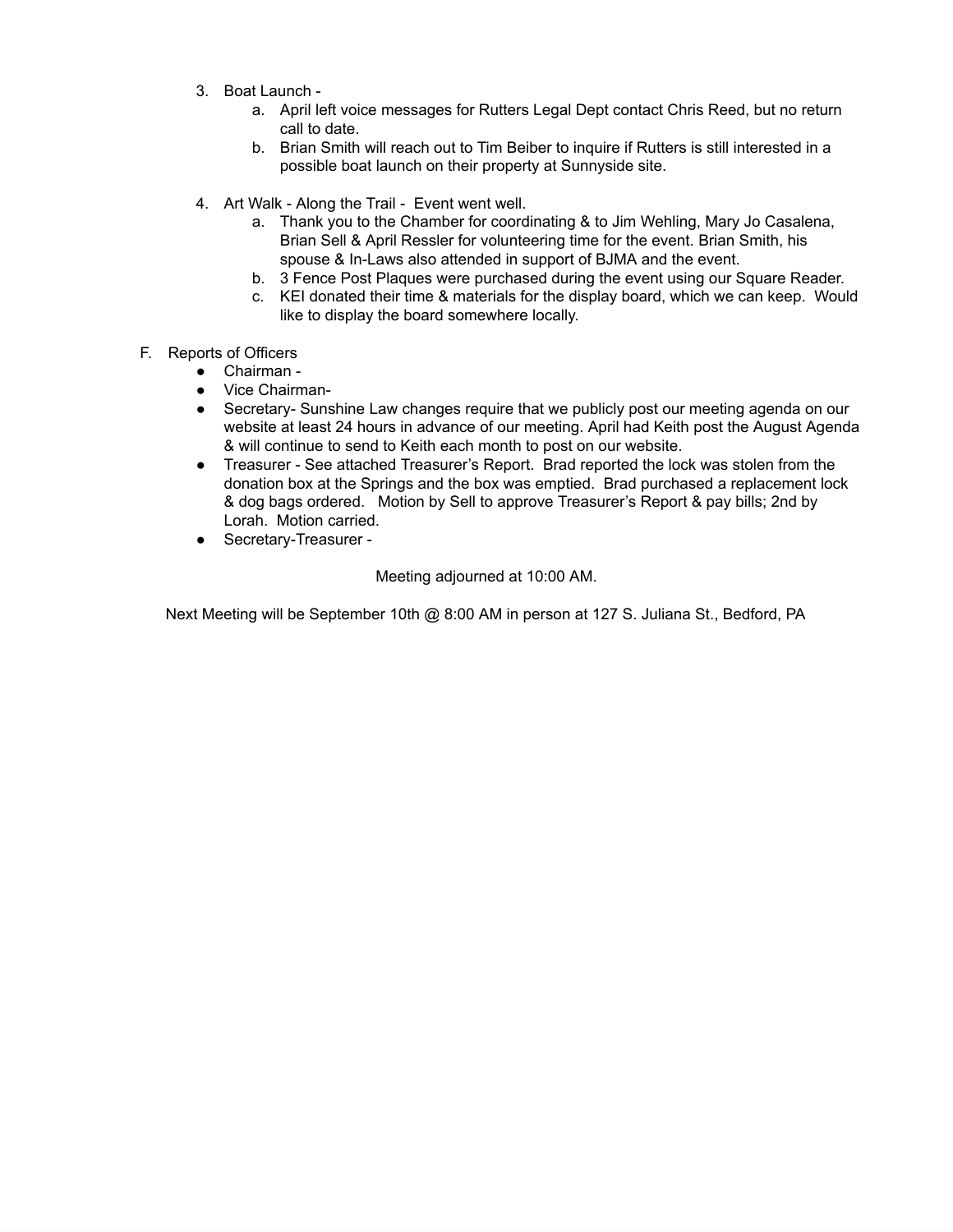- 3. Boat Launch
	- a. April left voice messages for Rutters Legal Dept contact Chris Reed, but no return call to date.
	- b. Brian Smith will reach out to Tim Beiber to inquire if Rutters is still interested in a possible boat launch on their property at Sunnyside site.
- 4. Art Walk Along the Trail Event went well.
	- a. Thank you to the Chamber for coordinating & to Jim Wehling, Mary Jo Casalena, Brian Sell & April Ressler for volunteering time for the event. Brian Smith, his spouse & In-Laws also attended in support of BJMA and the event.
	- b. 3 Fence Post Plaques were purchased during the event using our Square Reader.
	- c. KEI donated their time & materials for the display board, which we can keep. Would like to display the board somewhere locally.
- F. Reports of Officers
	- Chairman -
	- Vice Chairman-
	- Secretary- Sunshine Law changes require that we publicly post our meeting agenda on our website at least 24 hours in advance of our meeting. April had Keith post the August Agenda & will continue to send to Keith each month to post on our website.
	- Treasurer See attached Treasurer's Report. Brad reported the lock was stolen from the donation box at the Springs and the box was emptied. Brad purchased a replacement lock & dog bags ordered. Motion by Sell to approve Treasurer's Report & pay bills; 2nd by Lorah. Motion carried.
	- Secretary-Treasurer -

Meeting adjourned at 10:00 AM.

Next Meeting will be September 10th @ 8:00 AM in person at 127 S. Juliana St., Bedford, PA